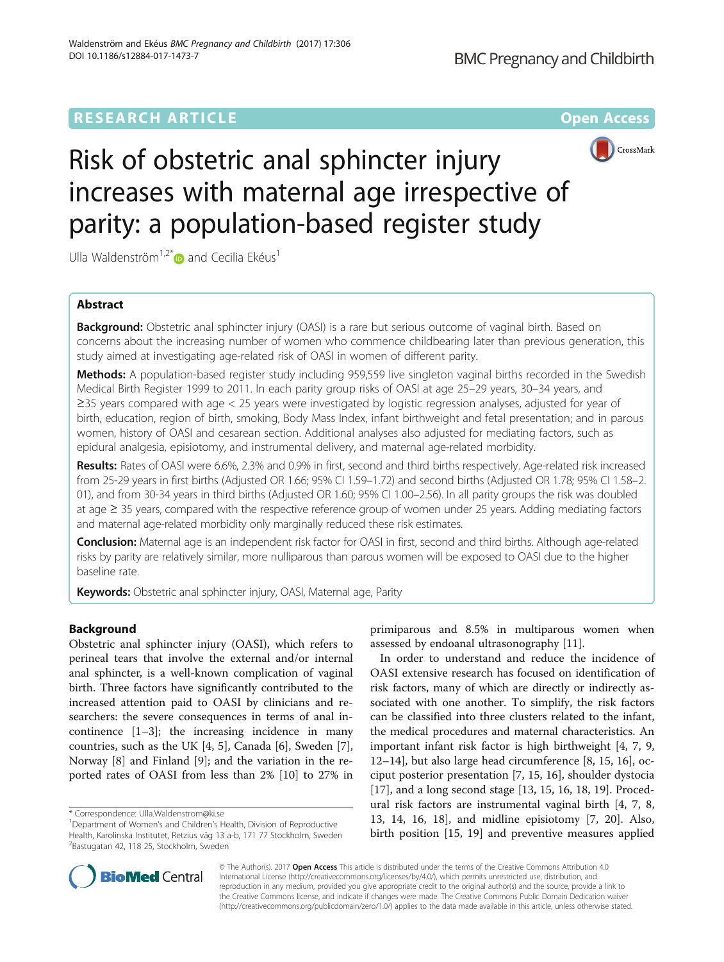## **RESEARCH ARTICLE Example 2014 12:30 The Contract of Contract ACCESS**



# Risk of obstetric anal sphincter injury increases with maternal age irrespective of parity: a population-based register study

Ulla Waldenström<sup>1,2\*</sup> $\bullet$  and Cecilia Ekéus<sup>1</sup>

## Abstract

**Background:** Obstetric anal sphincter injury (OASI) is a rare but serious outcome of vaginal birth. Based on concerns about the increasing number of women who commence childbearing later than previous generation, this study aimed at investigating age-related risk of OASI in women of different parity.

Methods: A population-based register study including 959,559 live singleton vaginal births recorded in the Swedish Medical Birth Register 1999 to 2011. In each parity group risks of OASI at age 25–29 years, 30–34 years, and ≥35 years compared with age < 25 years were investigated by logistic regression analyses, adjusted for year of birth, education, region of birth, smoking, Body Mass Index, infant birthweight and fetal presentation; and in parous women, history of OASI and cesarean section. Additional analyses also adjusted for mediating factors, such as epidural analgesia, episiotomy, and instrumental delivery, and maternal age-related morbidity.

Results: Rates of OASI were 6.6%, 2.3% and 0.9% in first, second and third births respectively. Age-related risk increased from 25-29 years in first births (Adjusted OR 1.66; 95% CI 1.59–1.72) and second births (Adjusted OR 1.78; 95% CI 1.58–2. 01), and from 30-34 years in third births (Adjusted OR 1.60; 95% CI 1.00–2.56). In all parity groups the risk was doubled at age ≥ 35 years, compared with the respective reference group of women under 25 years. Adding mediating factors and maternal age-related morbidity only marginally reduced these risk estimates.

Conclusion: Maternal age is an independent risk factor for OASI in first, second and third births. Although age-related risks by parity are relatively similar, more nulliparous than parous women will be exposed to OASI due to the higher baseline rate.

**Keywords:** Obstetric anal sphincter injury, OASI, Maternal age, Parity

## Background

Obstetric anal sphincter injury (OASI), which refers to perineal tears that involve the external and/or internal anal sphincter, is a well-known complication of vaginal birth. Three factors have significantly contributed to the increased attention paid to OASI by clinicians and researchers: the severe consequences in terms of anal incontinence [\[1](#page-9-0)–[3](#page-9-0)]; the increasing incidence in many countries, such as the UK [\[4](#page-9-0), [5](#page-9-0)], Canada [\[6](#page-9-0)], Sweden [\[7](#page-9-0)], Norway [\[8](#page-9-0)] and Finland [[9\]](#page-9-0); and the variation in the reported rates of OASI from less than 2% [[10\]](#page-9-0) to 27% in

\* Correspondence: [Ulla.Waldenstrom@ki.se](mailto:Ulla.Waldenstrom@ki.se) <sup>1</sup>

primiparous and 8.5% in multiparous women when assessed by endoanal ultrasonography [\[11\]](#page-9-0).

In order to understand and reduce the incidence of OASI extensive research has focused on identification of risk factors, many of which are directly or indirectly associated with one another. To simplify, the risk factors can be classified into three clusters related to the infant, the medical procedures and maternal characteristics. An important infant risk factor is high birthweight [[4](#page-9-0), [7](#page-9-0), [9](#page-9-0), [12](#page-9-0)–[14](#page-9-0)], but also large head circumference [[8, 15, 16](#page-9-0)], occiput posterior presentation [[7, 15](#page-9-0), [16](#page-9-0)], shoulder dystocia [[17\]](#page-9-0), and a long second stage [\[13](#page-9-0), [15](#page-9-0), [16, 18, 19\]](#page-9-0). Procedural risk factors are instrumental vaginal birth [[4, 7](#page-9-0), [8](#page-9-0), [13, 14, 16, 18\]](#page-9-0), and midline episiotomy [[7](#page-9-0), [20\]](#page-9-0). Also, birth position [[15](#page-9-0), [19](#page-9-0)] and preventive measures applied



© The Author(s). 2017 **Open Access** This article is distributed under the terms of the Creative Commons Attribution 4.0 International License [\(http://creativecommons.org/licenses/by/4.0/](http://creativecommons.org/licenses/by/4.0/)), which permits unrestricted use, distribution, and reproduction in any medium, provided you give appropriate credit to the original author(s) and the source, provide a link to the Creative Commons license, and indicate if changes were made. The Creative Commons Public Domain Dedication waiver [\(http://creativecommons.org/publicdomain/zero/1.0/](http://creativecommons.org/publicdomain/zero/1.0/)) applies to the data made available in this article, unless otherwise stated.

<sup>&</sup>lt;sup>1</sup>Department of Women's and Children's Health, Division of Reproductive Health, Karolinska Institutet, Retzius väg 13 a-b, 171 77 Stockholm, Sweden 2 Bastugatan 42, 118 25, Stockholm, Sweden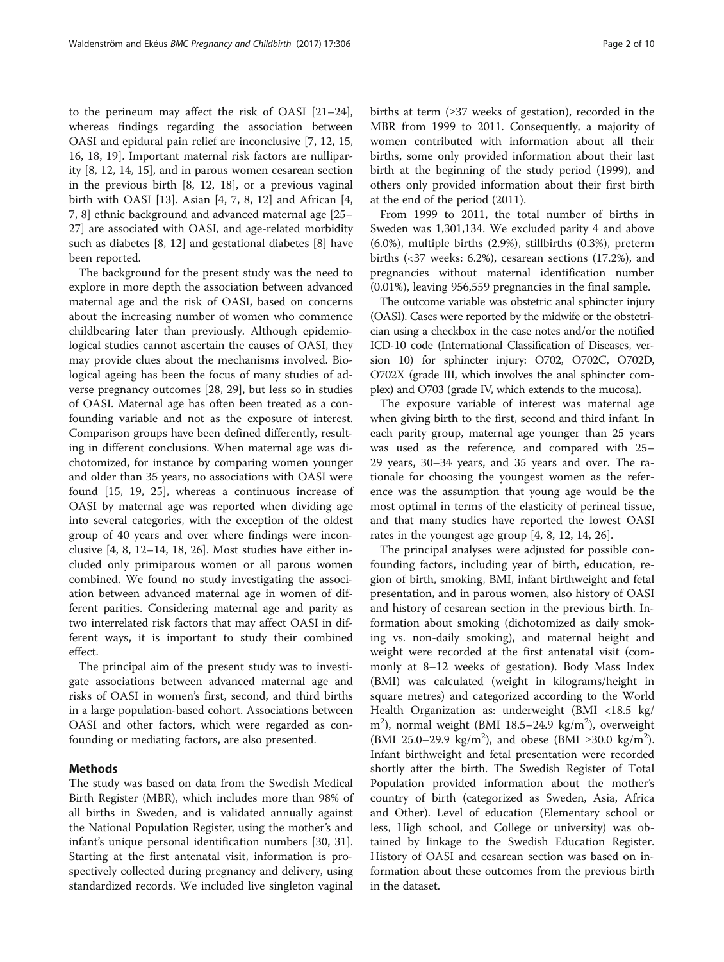to the perineum may affect the risk of OASI [[21](#page-9-0)–[24](#page-9-0)], whereas findings regarding the association between OASI and epidural pain relief are inconclusive [\[7](#page-9-0), [12](#page-9-0), [15](#page-9-0), [16, 18, 19](#page-9-0)]. Important maternal risk factors are nulliparity [[8, 12, 14, 15\]](#page-9-0), and in parous women cesarean section in the previous birth [\[8](#page-9-0), [12, 18\]](#page-9-0), or a previous vaginal birth with OASI [\[13\]](#page-9-0). Asian [[4, 7](#page-9-0), [8, 12](#page-9-0)] and African [\[4](#page-9-0), [7, 8\]](#page-9-0) ethnic background and advanced maternal age [[25](#page-9-0)– [27\]](#page-9-0) are associated with OASI, and age-related morbidity such as diabetes [[8, 12\]](#page-9-0) and gestational diabetes [[8\]](#page-9-0) have been reported.

The background for the present study was the need to explore in more depth the association between advanced maternal age and the risk of OASI, based on concerns about the increasing number of women who commence childbearing later than previously. Although epidemiological studies cannot ascertain the causes of OASI, they may provide clues about the mechanisms involved. Biological ageing has been the focus of many studies of adverse pregnancy outcomes [\[28](#page-9-0), [29](#page-9-0)], but less so in studies of OASI. Maternal age has often been treated as a confounding variable and not as the exposure of interest. Comparison groups have been defined differently, resulting in different conclusions. When maternal age was dichotomized, for instance by comparing women younger and older than 35 years, no associations with OASI were found [\[15](#page-9-0), [19, 25\]](#page-9-0), whereas a continuous increase of OASI by maternal age was reported when dividing age into several categories, with the exception of the oldest group of 40 years and over where findings were inconclusive [\[4](#page-9-0), [8, 12](#page-9-0)–[14](#page-9-0), [18](#page-9-0), [26\]](#page-9-0). Most studies have either included only primiparous women or all parous women combined. We found no study investigating the association between advanced maternal age in women of different parities. Considering maternal age and parity as two interrelated risk factors that may affect OASI in different ways, it is important to study their combined effect.

The principal aim of the present study was to investigate associations between advanced maternal age and risks of OASI in women's first, second, and third births in a large population-based cohort. Associations between OASI and other factors, which were regarded as confounding or mediating factors, are also presented.

## Methods

The study was based on data from the Swedish Medical Birth Register (MBR), which includes more than 98% of all births in Sweden, and is validated annually against the National Population Register, using the mother's and infant's unique personal identification numbers [[30, 31](#page-9-0)]. Starting at the first antenatal visit, information is prospectively collected during pregnancy and delivery, using standardized records. We included live singleton vaginal births at term (≥37 weeks of gestation), recorded in the MBR from 1999 to 2011. Consequently, a majority of women contributed with information about all their births, some only provided information about their last birth at the beginning of the study period (1999), and others only provided information about their first birth at the end of the period (2011).

From 1999 to 2011, the total number of births in Sweden was 1,301,134. We excluded parity 4 and above (6.0%), multiple births (2.9%), stillbirths (0.3%), preterm births (<37 weeks: 6.2%), cesarean sections (17.2%), and pregnancies without maternal identification number (0.01%), leaving 956,559 pregnancies in the final sample.

The outcome variable was obstetric anal sphincter injury (OASI). Cases were reported by the midwife or the obstetrician using a checkbox in the case notes and/or the notified ICD-10 code (International Classification of Diseases, version 10) for sphincter injury: O702, O702C, O702D, O702X (grade III, which involves the anal sphincter complex) and O703 (grade IV, which extends to the mucosa).

The exposure variable of interest was maternal age when giving birth to the first, second and third infant. In each parity group, maternal age younger than 25 years was used as the reference, and compared with 25– 29 years, 30–34 years, and 35 years and over. The rationale for choosing the youngest women as the reference was the assumption that young age would be the most optimal in terms of the elasticity of perineal tissue, and that many studies have reported the lowest OASI rates in the youngest age group [[4, 8, 12](#page-9-0), [14](#page-9-0), [26](#page-9-0)].

The principal analyses were adjusted for possible confounding factors, including year of birth, education, region of birth, smoking, BMI, infant birthweight and fetal presentation, and in parous women, also history of OASI and history of cesarean section in the previous birth. Information about smoking (dichotomized as daily smoking vs. non-daily smoking), and maternal height and weight were recorded at the first antenatal visit (commonly at 8–12 weeks of gestation). Body Mass Index (BMI) was calculated (weight in kilograms/height in square metres) and categorized according to the World Health Organization as: underweight (BMI <18.5 kg/ m<sup>2</sup>), normal weight (BMI 18.5-24.9 kg/m<sup>2</sup>), overweight (BMI 25.0−29.9 kg/m<sup>2</sup>), and obese (BMI ≥30.0 kg/m<sup>2</sup>). Infant birthweight and fetal presentation were recorded shortly after the birth. The Swedish Register of Total Population provided information about the mother's country of birth (categorized as Sweden, Asia, Africa and Other). Level of education (Elementary school or less, High school, and College or university) was obtained by linkage to the Swedish Education Register. History of OASI and cesarean section was based on information about these outcomes from the previous birth in the dataset.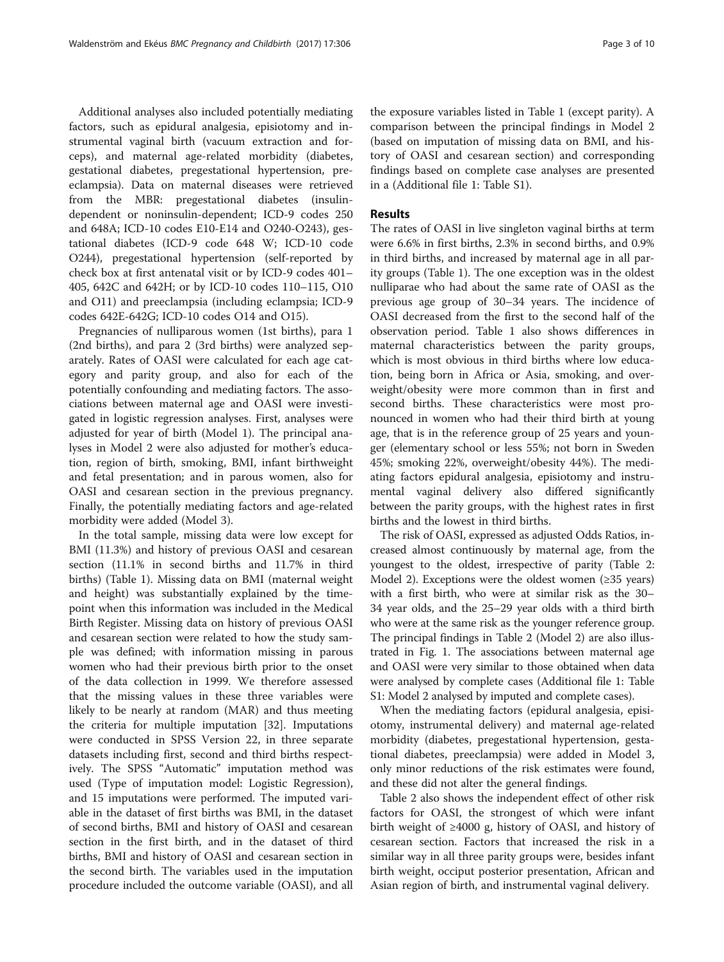Additional analyses also included potentially mediating factors, such as epidural analgesia, episiotomy and instrumental vaginal birth (vacuum extraction and forceps), and maternal age-related morbidity (diabetes, gestational diabetes, pregestational hypertension, preeclampsia). Data on maternal diseases were retrieved from the MBR: pregestational diabetes (insulindependent or noninsulin-dependent; ICD-9 codes 250 and 648A; ICD-10 codes E10-E14 and O240-O243), gestational diabetes (ICD-9 code 648 W; ICD-10 code O244), pregestational hypertension (self-reported by check box at first antenatal visit or by ICD-9 codes 401– 405, 642C and 642H; or by ICD-10 codes 110–115, O10 and O11) and preeclampsia (including eclampsia; ICD-9 codes 642E-642G; ICD-10 codes O14 and O15).

Pregnancies of nulliparous women (1st births), para 1 (2nd births), and para 2 (3rd births) were analyzed separately. Rates of OASI were calculated for each age category and parity group, and also for each of the potentially confounding and mediating factors. The associations between maternal age and OASI were investigated in logistic regression analyses. First, analyses were adjusted for year of birth (Model 1). The principal analyses in Model 2 were also adjusted for mother's education, region of birth, smoking, BMI, infant birthweight and fetal presentation; and in parous women, also for OASI and cesarean section in the previous pregnancy. Finally, the potentially mediating factors and age-related morbidity were added (Model 3).

In the total sample, missing data were low except for BMI (11.3%) and history of previous OASI and cesarean section (11.1% in second births and 11.7% in third births) (Table [1\)](#page-3-0). Missing data on BMI (maternal weight and height) was substantially explained by the timepoint when this information was included in the Medical Birth Register. Missing data on history of previous OASI and cesarean section were related to how the study sample was defined; with information missing in parous women who had their previous birth prior to the onset of the data collection in 1999. We therefore assessed that the missing values in these three variables were likely to be nearly at random (MAR) and thus meeting the criteria for multiple imputation [\[32](#page-9-0)]. Imputations were conducted in SPSS Version 22, in three separate datasets including first, second and third births respectively. The SPSS "Automatic" imputation method was used (Type of imputation model: Logistic Regression), and 15 imputations were performed. The imputed variable in the dataset of first births was BMI, in the dataset of second births, BMI and history of OASI and cesarean section in the first birth, and in the dataset of third births, BMI and history of OASI and cesarean section in the second birth. The variables used in the imputation procedure included the outcome variable (OASI), and all

the exposure variables listed in Table [1](#page-3-0) (except parity). A comparison between the principal findings in Model 2 (based on imputation of missing data on BMI, and history of OASI and cesarean section) and corresponding findings based on complete case analyses are presented in a (Additional file [1](#page-8-0): Table S1).

#### Results

The rates of OASI in live singleton vaginal births at term were 6.6% in first births, 2.3% in second births, and 0.9% in third births, and increased by maternal age in all parity groups (Table [1\)](#page-3-0). The one exception was in the oldest nulliparae who had about the same rate of OASI as the previous age group of 30–34 years. The incidence of OASI decreased from the first to the second half of the observation period. Table [1](#page-3-0) also shows differences in maternal characteristics between the parity groups, which is most obvious in third births where low education, being born in Africa or Asia, smoking, and overweight/obesity were more common than in first and second births. These characteristics were most pronounced in women who had their third birth at young age, that is in the reference group of 25 years and younger (elementary school or less 55%; not born in Sweden 45%; smoking 22%, overweight/obesity 44%). The mediating factors epidural analgesia, episiotomy and instrumental vaginal delivery also differed significantly between the parity groups, with the highest rates in first births and the lowest in third births.

The risk of OASI, expressed as adjusted Odds Ratios, increased almost continuously by maternal age, from the youngest to the oldest, irrespective of parity (Table [2](#page-5-0): Model 2). Exceptions were the oldest women  $(≥35 \text{ years})$ with a first birth, who were at similar risk as the 30– 34 year olds, and the 25–29 year olds with a third birth who were at the same risk as the younger reference group. The principal findings in Table [2](#page-5-0) (Model 2) are also illustrated in Fig. [1.](#page-7-0) The associations between maternal age and OASI were very similar to those obtained when data were analysed by complete cases (Additional file [1](#page-8-0): Table S1: Model 2 analysed by imputed and complete cases).

When the mediating factors (epidural analgesia, episiotomy, instrumental delivery) and maternal age-related morbidity (diabetes, pregestational hypertension, gestational diabetes, preeclampsia) were added in Model 3, only minor reductions of the risk estimates were found, and these did not alter the general findings.

Table [2](#page-5-0) also shows the independent effect of other risk factors for OASI, the strongest of which were infant birth weight of ≥4000 g, history of OASI, and history of cesarean section. Factors that increased the risk in a similar way in all three parity groups were, besides infant birth weight, occiput posterior presentation, African and Asian region of birth, and instrumental vaginal delivery.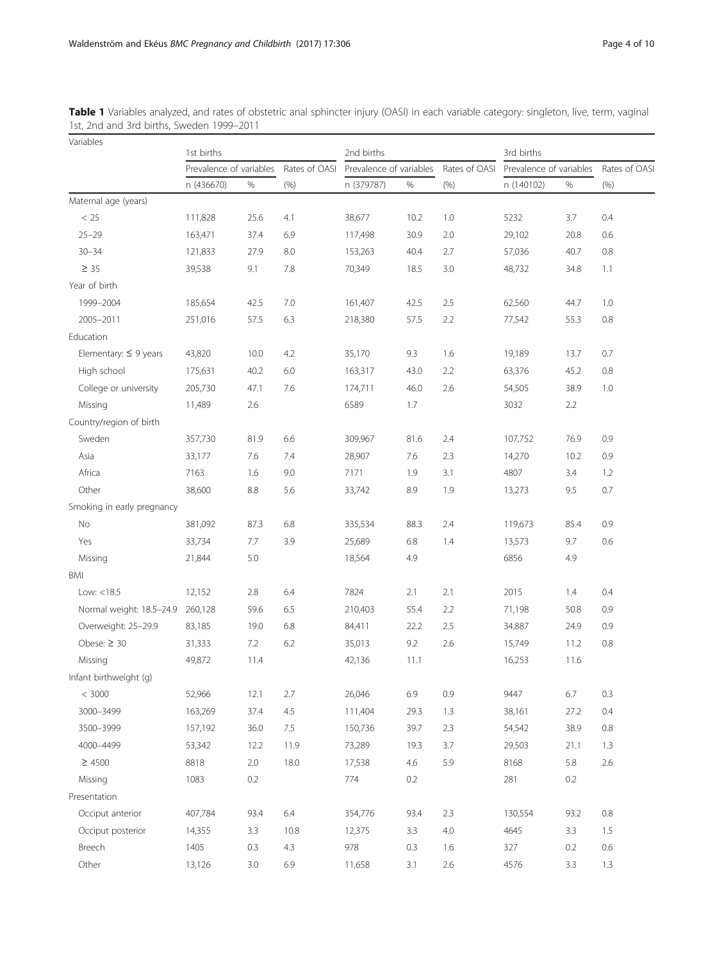| Prevalence of variables<br>Rates of OASI<br>Prevalence of variables<br>Rates of OASI<br>Prevalence of variables<br>Rates of OAS<br>$\%$<br>(% )<br>n (379787)<br>%<br>(% )<br>n (140102)<br>%<br>(% )<br>n (436670)<br>Maternal age (years)<br>0.4<br>< 25<br>111,828<br>25.6<br>4.1<br>38,677<br>10.2<br>1.0<br>5232<br>3.7<br>$25 - 29$<br>163,471<br>37.4<br>6.9<br>30.9<br>2.0<br>29,102<br>20.8<br>0.6<br>117,498<br>$30 - 34$<br>27.9<br>8.0<br>40.4<br>2.7<br>40.7<br>0.8<br>121,833<br>153,263<br>57,036<br>$\geq 35$<br>7.8<br>39,538<br>9.1<br>70,349<br>18.5<br>3.0<br>48,732<br>34.8<br>1.1<br>Year of birth<br>1999-2004<br>185,654<br>42.5<br>7.0<br>42.5<br>2.5<br>62,560<br>1.0<br>161,407<br>44.7<br>2005-2011<br>6.3<br>57.5<br>0.8<br>251,016<br>57.5<br>2.2<br>77,542<br>55.3<br>218,380<br>Education | Variables                  | 1st births |      |     | 2nd births |     |     | 3rd births |      |     |
|---------------------------------------------------------------------------------------------------------------------------------------------------------------------------------------------------------------------------------------------------------------------------------------------------------------------------------------------------------------------------------------------------------------------------------------------------------------------------------------------------------------------------------------------------------------------------------------------------------------------------------------------------------------------------------------------------------------------------------------------------------------------------------------------------------------------------|----------------------------|------------|------|-----|------------|-----|-----|------------|------|-----|
|                                                                                                                                                                                                                                                                                                                                                                                                                                                                                                                                                                                                                                                                                                                                                                                                                           |                            |            |      |     |            |     |     |            |      |     |
|                                                                                                                                                                                                                                                                                                                                                                                                                                                                                                                                                                                                                                                                                                                                                                                                                           |                            |            |      |     |            |     |     |            |      |     |
|                                                                                                                                                                                                                                                                                                                                                                                                                                                                                                                                                                                                                                                                                                                                                                                                                           |                            |            |      |     |            |     |     |            |      |     |
|                                                                                                                                                                                                                                                                                                                                                                                                                                                                                                                                                                                                                                                                                                                                                                                                                           |                            |            |      |     |            |     |     |            |      |     |
|                                                                                                                                                                                                                                                                                                                                                                                                                                                                                                                                                                                                                                                                                                                                                                                                                           |                            |            |      |     |            |     |     |            |      |     |
|                                                                                                                                                                                                                                                                                                                                                                                                                                                                                                                                                                                                                                                                                                                                                                                                                           |                            |            |      |     |            |     |     |            |      |     |
|                                                                                                                                                                                                                                                                                                                                                                                                                                                                                                                                                                                                                                                                                                                                                                                                                           |                            |            |      |     |            |     |     |            |      |     |
|                                                                                                                                                                                                                                                                                                                                                                                                                                                                                                                                                                                                                                                                                                                                                                                                                           |                            |            |      |     |            |     |     |            |      |     |
|                                                                                                                                                                                                                                                                                                                                                                                                                                                                                                                                                                                                                                                                                                                                                                                                                           |                            |            |      |     |            |     |     |            |      |     |
|                                                                                                                                                                                                                                                                                                                                                                                                                                                                                                                                                                                                                                                                                                                                                                                                                           |                            |            |      |     |            |     |     |            |      |     |
|                                                                                                                                                                                                                                                                                                                                                                                                                                                                                                                                                                                                                                                                                                                                                                                                                           |                            |            |      |     |            |     |     |            |      |     |
|                                                                                                                                                                                                                                                                                                                                                                                                                                                                                                                                                                                                                                                                                                                                                                                                                           | Elementary: $\leq 9$ years | 43,820     | 10.0 | 4.2 | 35,170     | 9.3 | 1.6 | 19,189     | 13.7 | 0.7 |
| 6.0<br>2.2<br>0.8<br>High school<br>175,631<br>40.2<br>163,317<br>43.0<br>63,376<br>45.2                                                                                                                                                                                                                                                                                                                                                                                                                                                                                                                                                                                                                                                                                                                                  |                            |            |      |     |            |     |     |            |      |     |
| College or university<br>205,730<br>47.1<br>7.6<br>174,711<br>46.0<br>2.6<br>54,505<br>38.9<br>1.0                                                                                                                                                                                                                                                                                                                                                                                                                                                                                                                                                                                                                                                                                                                        |                            |            |      |     |            |     |     |            |      |     |
| Missing<br>2.6<br>1.7<br>3032<br>2.2<br>11,489<br>6589                                                                                                                                                                                                                                                                                                                                                                                                                                                                                                                                                                                                                                                                                                                                                                    |                            |            |      |     |            |     |     |            |      |     |
| Country/region of birth                                                                                                                                                                                                                                                                                                                                                                                                                                                                                                                                                                                                                                                                                                                                                                                                   |                            |            |      |     |            |     |     |            |      |     |
| 0.9<br>Sweden<br>357,730<br>81.9<br>6.6<br>309,967<br>81.6<br>2.4<br>107,752<br>76.9                                                                                                                                                                                                                                                                                                                                                                                                                                                                                                                                                                                                                                                                                                                                      |                            |            |      |     |            |     |     |            |      |     |
| Asia<br>7.6<br>7.6<br>2.3<br>10.2<br>0.9<br>33,177<br>7.4<br>28,907<br>14,270                                                                                                                                                                                                                                                                                                                                                                                                                                                                                                                                                                                                                                                                                                                                             |                            |            |      |     |            |     |     |            |      |     |
| Africa<br>7163<br>1.6<br>9.0<br>1.9<br>1.2<br>7171<br>3.1<br>4807<br>3.4                                                                                                                                                                                                                                                                                                                                                                                                                                                                                                                                                                                                                                                                                                                                                  |                            |            |      |     |            |     |     |            |      |     |
| Other<br>0.7<br>38,600<br>8.8<br>5.6<br>8.9<br>1.9<br>9.5<br>33,742<br>13,273                                                                                                                                                                                                                                                                                                                                                                                                                                                                                                                                                                                                                                                                                                                                             |                            |            |      |     |            |     |     |            |      |     |
| Smoking in early pregnancy                                                                                                                                                                                                                                                                                                                                                                                                                                                                                                                                                                                                                                                                                                                                                                                                |                            |            |      |     |            |     |     |            |      |     |
| No<br>6.8<br>88.3<br>2.4<br>0.9<br>381,092<br>87.3<br>335,534<br>119,673<br>85.4                                                                                                                                                                                                                                                                                                                                                                                                                                                                                                                                                                                                                                                                                                                                          |                            |            |      |     |            |     |     |            |      |     |
| Yes<br>33,734<br>7.7<br>3.9<br>25,689<br>6.8<br>1.4<br>9.7<br>0.6<br>13,573                                                                                                                                                                                                                                                                                                                                                                                                                                                                                                                                                                                                                                                                                                                                               |                            |            |      |     |            |     |     |            |      |     |
| Missing<br>5.0<br>4.9<br>6856<br>21,844<br>18,564<br>4.9                                                                                                                                                                                                                                                                                                                                                                                                                                                                                                                                                                                                                                                                                                                                                                  |                            |            |      |     |            |     |     |            |      |     |
| BMI                                                                                                                                                                                                                                                                                                                                                                                                                                                                                                                                                                                                                                                                                                                                                                                                                       |                            |            |      |     |            |     |     |            |      |     |
| Low: <18.5<br>12,152<br>2.8<br>7824<br>2.1<br>2.1<br>2015<br>0.4<br>6.4<br>1.4                                                                                                                                                                                                                                                                                                                                                                                                                                                                                                                                                                                                                                                                                                                                            |                            |            |      |     |            |     |     |            |      |     |
| Normal weight: 18.5-24.9<br>260,128<br>59.6<br>6.5<br>55.4<br>2.2<br>0.9<br>210,403<br>71,198<br>50.8                                                                                                                                                                                                                                                                                                                                                                                                                                                                                                                                                                                                                                                                                                                     |                            |            |      |     |            |     |     |            |      |     |
| 6.8<br>22.2<br>0.9<br>Overweight: 25-29.9<br>83,185<br>19.0<br>84,411<br>2.5<br>34,887<br>24.9                                                                                                                                                                                                                                                                                                                                                                                                                                                                                                                                                                                                                                                                                                                            |                            |            |      |     |            |     |     |            |      |     |
| Obese: $\geq$ 30<br>7.2<br>6.2<br>35,013<br>9.2<br>2.6<br>15,749<br>11.2<br>0.8<br>31,333                                                                                                                                                                                                                                                                                                                                                                                                                                                                                                                                                                                                                                                                                                                                 |                            |            |      |     |            |     |     |            |      |     |
| Missing<br>49,872<br>11.1<br>16,253<br>11.6<br>11.4<br>42,136                                                                                                                                                                                                                                                                                                                                                                                                                                                                                                                                                                                                                                                                                                                                                             |                            |            |      |     |            |     |     |            |      |     |
| Infant birthweight (g)                                                                                                                                                                                                                                                                                                                                                                                                                                                                                                                                                                                                                                                                                                                                                                                                    |                            |            |      |     |            |     |     |            |      |     |
| 6.9<br>0.9<br>< 3000<br>52,966<br>12.1<br>2.7<br>26,046<br>9447<br>6.7<br>0.3                                                                                                                                                                                                                                                                                                                                                                                                                                                                                                                                                                                                                                                                                                                                             |                            |            |      |     |            |     |     |            |      |     |
| 37.4<br>4.5<br>29.3<br>0.4<br>3000-3499<br>163,269<br>111,404<br>1.3<br>38,161<br>27.2                                                                                                                                                                                                                                                                                                                                                                                                                                                                                                                                                                                                                                                                                                                                    |                            |            |      |     |            |     |     |            |      |     |
| 36.0<br>7.5<br>39.7<br>38.9<br>$0.8\,$<br>3500-3999<br>157,192<br>150,736<br>2.3<br>54,542                                                                                                                                                                                                                                                                                                                                                                                                                                                                                                                                                                                                                                                                                                                                |                            |            |      |     |            |     |     |            |      |     |
| 4000-4499<br>53,342<br>12.2<br>11.9<br>73,289<br>19.3<br>3.7<br>29,503<br>1.3<br>21.1                                                                                                                                                                                                                                                                                                                                                                                                                                                                                                                                                                                                                                                                                                                                     |                            |            |      |     |            |     |     |            |      |     |
| $2.0\,$<br>5.9<br>$2.6\,$<br>$\geq 4500$<br>8818<br>18.0<br>17,538<br>4.6<br>8168<br>5.8                                                                                                                                                                                                                                                                                                                                                                                                                                                                                                                                                                                                                                                                                                                                  |                            |            |      |     |            |     |     |            |      |     |
| 1083<br>0.2<br>0.2<br>0.2<br>Missing<br>774<br>281                                                                                                                                                                                                                                                                                                                                                                                                                                                                                                                                                                                                                                                                                                                                                                        |                            |            |      |     |            |     |     |            |      |     |
| Presentation                                                                                                                                                                                                                                                                                                                                                                                                                                                                                                                                                                                                                                                                                                                                                                                                              |                            |            |      |     |            |     |     |            |      |     |
| 6.4<br>$0.8\,$<br>Occiput anterior<br>407,784<br>93.4<br>354,776<br>93.4<br>2.3<br>130,554<br>93.2                                                                                                                                                                                                                                                                                                                                                                                                                                                                                                                                                                                                                                                                                                                        |                            |            |      |     |            |     |     |            |      |     |
| 10.8<br>3.3<br>4.0<br>3.3<br>1.5<br>Occiput posterior<br>14,355<br>3.3<br>12,375<br>4645                                                                                                                                                                                                                                                                                                                                                                                                                                                                                                                                                                                                                                                                                                                                  |                            |            |      |     |            |     |     |            |      |     |
| Breech<br>1405<br>0.3<br>4.3<br>978<br>0.3<br>1.6<br>327<br>0.2<br>0.6                                                                                                                                                                                                                                                                                                                                                                                                                                                                                                                                                                                                                                                                                                                                                    |                            |            |      |     |            |     |     |            |      |     |
| Other<br>3.0<br>6.9<br>3.1<br>13,126<br>11,658<br>2.6<br>4576<br>3.3<br>1.3                                                                                                                                                                                                                                                                                                                                                                                                                                                                                                                                                                                                                                                                                                                                               |                            |            |      |     |            |     |     |            |      |     |

<span id="page-3-0"></span>Table 1 Variables analyzed, and rates of obstetric anal sphincter injury (OASI) in each variable category: singleton, live, term, vaginal 1st, 2nd and 3rd births, Sweden 1999–2011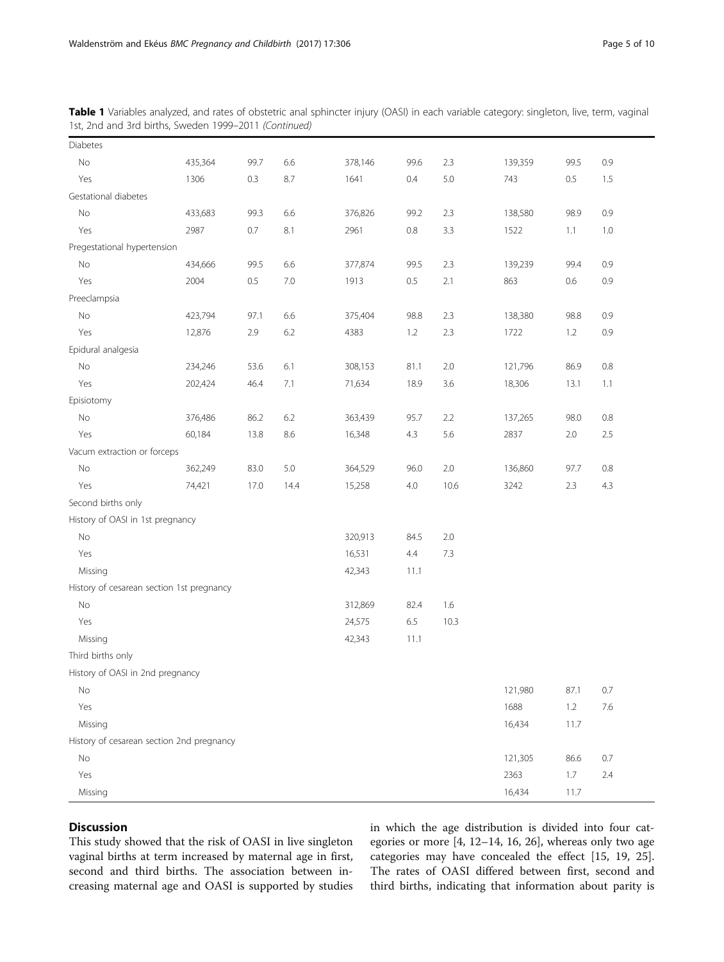|                                                       | Table 1 Variables analyzed, and rates of obstetric anal sphincter injury (OASI) in each variable category: singleton, live, term, vaginal |
|-------------------------------------------------------|-------------------------------------------------------------------------------------------------------------------------------------------|
| 1st, 2nd and 3rd births, Sweden 1999–2011 (Continued) |                                                                                                                                           |

| Diabetes                                  |         |         |      |         |         |       |         |         |         |
|-------------------------------------------|---------|---------|------|---------|---------|-------|---------|---------|---------|
| <b>No</b>                                 | 435,364 | 99.7    | 6.6  | 378,146 | 99.6    | 2.3   | 139,359 | 99.5    | 0.9     |
| Yes                                       | 1306    | $0.3\,$ | 8.7  | 1641    | 0.4     | $5.0$ | 743     | $0.5\,$ | 1.5     |
| Gestational diabetes                      |         |         |      |         |         |       |         |         |         |
| No                                        | 433,683 | 99.3    | 6.6  | 376,826 | 99.2    | 2.3   | 138,580 | 98.9    | 0.9     |
| Yes                                       | 2987    | 0.7     | 8.1  | 2961    | $0.8\,$ | 3.3   | 1522    | 1.1     | 1.0     |
| Pregestational hypertension               |         |         |      |         |         |       |         |         |         |
| No                                        | 434,666 | 99.5    | 6.6  | 377,874 | 99.5    | 2.3   | 139,239 | 99.4    | 0.9     |
| Yes                                       | 2004    | $0.5\,$ | 7.0  | 1913    | 0.5     | 2.1   | 863     | 0.6     | $0.9\,$ |
| Preeclampsia                              |         |         |      |         |         |       |         |         |         |
| $\rm No$                                  | 423,794 | 97.1    | 6.6  | 375,404 | 98.8    | 2.3   | 138,380 | 98.8    | 0.9     |
| Yes                                       | 12,876  | 2.9     | 6.2  | 4383    | 1.2     | 2.3   | 1722    | 1.2     | $0.9\,$ |
| Epidural analgesia                        |         |         |      |         |         |       |         |         |         |
| No                                        | 234,246 | 53.6    | 6.1  | 308,153 | 81.1    | 2.0   | 121,796 | 86.9    | $0.8\,$ |
| Yes                                       | 202,424 | 46.4    | 7.1  | 71,634  | 18.9    | 3.6   | 18,306  | 13.1    | 1.1     |
| Episiotomy                                |         |         |      |         |         |       |         |         |         |
| <b>No</b>                                 | 376,486 | 86.2    | 6.2  | 363,439 | 95.7    | 2.2   | 137,265 | 98.0    | 0.8     |
| Yes                                       | 60,184  | 13.8    | 8.6  | 16,348  | 4.3     | 5.6   | 2837    | 2.0     | 2.5     |
| Vacum extraction or forceps               |         |         |      |         |         |       |         |         |         |
| $\rm No$                                  | 362,249 | 83.0    | 5.0  | 364,529 | 96.0    | 2.0   | 136,860 | 97.7    | 0.8     |
| Yes                                       | 74,421  | 17.0    | 14.4 | 15,258  | $4.0\,$ | 10.6  | 3242    | 2.3     | 4.3     |
| Second births only                        |         |         |      |         |         |       |         |         |         |
| History of OASI in 1st pregnancy          |         |         |      |         |         |       |         |         |         |
| No                                        |         |         |      | 320,913 | 84.5    | 2.0   |         |         |         |
| Yes                                       |         |         |      | 16,531  | 4.4     | 7.3   |         |         |         |
| Missing                                   |         |         |      | 42,343  | 11.1    |       |         |         |         |
| History of cesarean section 1st pregnancy |         |         |      |         |         |       |         |         |         |
| No                                        |         |         |      | 312,869 | 82.4    | 1.6   |         |         |         |
| Yes                                       |         |         |      | 24,575  | $6.5\,$ | 10.3  |         |         |         |
| Missing                                   |         |         |      | 42,343  | 11.1    |       |         |         |         |
| Third births only                         |         |         |      |         |         |       |         |         |         |
| History of OASI in 2nd pregnancy          |         |         |      |         |         |       |         |         |         |
| No                                        |         |         |      |         |         |       | 121,980 | 87.1    | 0.7     |
| Yes                                       |         |         |      |         |         |       | 1688    | 1.2     | 7.6     |
| Missing                                   |         |         |      |         |         |       | 16,434  | 11.7    |         |
| History of cesarean section 2nd pregnancy |         |         |      |         |         |       |         |         |         |
| No                                        |         |         |      |         |         |       | 121,305 | 86.6    | $0.7\,$ |
| Yes                                       |         |         |      |         |         |       | 2363    | 1.7     | 2.4     |
| Missing                                   |         |         |      |         |         |       | 16,434  | 11.7    |         |

## **Discussion**

This study showed that the risk of OASI in live singleton vaginal births at term increased by maternal age in first, second and third births. The association between increasing maternal age and OASI is supported by studies

in which the age distribution is divided into four categories or more [[4, 12](#page-9-0)–[14, 16, 26\]](#page-9-0), whereas only two age categories may have concealed the effect [\[15](#page-9-0), [19](#page-9-0), [25](#page-9-0)]. The rates of OASI differed between first, second and third births, indicating that information about parity is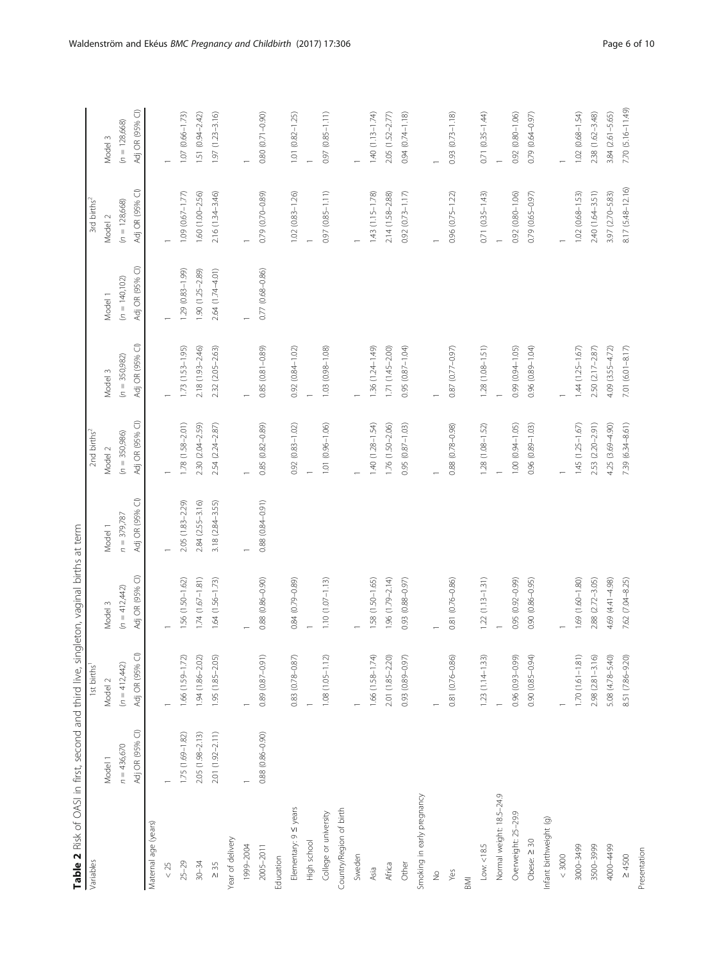<span id="page-5-0"></span>

| Table 2 Risk of OASI in first, second and third live, singleton, vaginal births at term<br>Variables |                     | Ist births <sup>1</sup> |                        |                     | 2nd births <sup>-</sup> |                     |                     | 3rd births <sup>2</sup> |                        |
|------------------------------------------------------------------------------------------------------|---------------------|-------------------------|------------------------|---------------------|-------------------------|---------------------|---------------------|-------------------------|------------------------|
|                                                                                                      | Model 1             | Model 2                 | Model 3                | Model 1             | Model 2                 | Model 3             | Model 1             | Model 2                 | Model 3                |
|                                                                                                      | $n = 436,670$       | $(n = 412,442)$         | $(n = 412,442)$        | $n = 379,787$       | $(n = 350,986)$         | $(n = 350,982)$     | $(n = 140, 102)$    | $(n = 128,668)$         | $(n = 128,668)$        |
|                                                                                                      | Adj OR (95% CI)     | Adj OR (95% CI)         | Adj OR (95% CI)        | Adj OR (95% CI)     | Adj OR (95% CI)         | Adj OR (95% CI)     | Adj OR (95% CI)     | Adj OR (95% CI)         | Adj OR (95% CI)        |
| Maternal age (years)                                                                                 |                     |                         |                        |                     |                         |                     |                     |                         |                        |
| $< 25$                                                                                               |                     |                         |                        |                     |                         |                     |                     |                         |                        |
| $25 - 29$                                                                                            | $1.75(1.69 - 1.82)$ | $1.66(1.59 - 1.72)$     | 1.56 (1.50-1.62)       | 2.05 (1.83-2.29)    | 1.78 (1.58-2.01)        | $1.73(1.53 - 1.95)$ | $1.29(0.83 - 1.99)$ | 1.09 (0.67-1.77)        | $1.07(0.66 - 1.73)$    |
| $30 - 34$                                                                                            | $2.05(1.98 - 2.13)$ | 1.94 (1.86-2.02)        | $1.74(1.67 - 1.81)$    | $2.84(2.55 - 3.16)$ | 2.30 (2.04-2.59)        | 2.18 (1.93-2.46)    | 1.90 (1.25-2.89)    | 1.60 (1.00-2.56)        | 1.51 $(0.94 - 2.42)$   |
| $\geq 35$                                                                                            | 2.01 (1.92-2.11)    | 1.95 (1.85-2.05)        | $1.64(1.56 - 1.73)$    | 3.18 (2.84-3.55)    | 2.54 (2.24-2.87)        | 2.32 (2.05-2.63)    | 2.64 (1.74-4.01)    | 2.16 (1.34-3.46)        | $1.97(1.23 - 3.16)$    |
| Year of delivery                                                                                     |                     |                         |                        |                     |                         |                     |                     |                         |                        |
| 1999-2004                                                                                            |                     |                         |                        |                     |                         |                     |                     |                         |                        |
| 2005-2011                                                                                            | $0.88(0.86 - 0.90)$ | 0.89 (0.87-0.91)        | $0.88$ $(0.86 - 0.90)$ | 0.88 (0.84-0.91)    | 0.85 (0.82-0.89)        | $0.85(0.81 - 0.89)$ | $0.77(0.68 - 0.86)$ | 0.79 (0.70-0.89)        | 0.80 (0.71-0.90)       |
| Education                                                                                            |                     |                         |                        |                     |                         |                     |                     |                         |                        |
| Elementary: 9 < years                                                                                |                     | 0.83 (0.78 - 0.87)      | 0.84 (0.79-0.89)       |                     | 0.92 (0.83-1.02)        | 0.92 (0.84-1.02)    |                     | 1.02 (0.83-1.26)        | 1.01 (0.82-1.25)       |
| High school                                                                                          |                     |                         |                        |                     |                         |                     |                     |                         |                        |
| College or university                                                                                |                     | $1.08(1.05 - 1.12)$     | $1.10(1.07 - 1.13)$    |                     | 1.01 (0.96-1.06)        | 1.03 (0.98-1.08)    |                     | $0.97$ $(0.85 - 1.11)$  | $0.97(0.85 - 1.11)$    |
| Country/Region of birth                                                                              |                     |                         |                        |                     |                         |                     |                     |                         |                        |
| Sweden                                                                                               |                     |                         |                        |                     |                         |                     |                     |                         |                        |
| Asia                                                                                                 |                     | $1.66$ $(1.58 - 1.74)$  | 1.58 (1.50-1.65)       |                     | 1.40 (1.28-1.54)        | 1.36 (1.24-1.49)    |                     | 1.43 (1.15-1.78)        | $1.40(1.13 - 1.74)$    |
| Africa                                                                                               |                     | 2.01 (1.85-2.20)        | 1.96 (1.79-2.14)       |                     | 1.76 (1.50-2.06)        | $1.71(1.45 - 2.00)$ |                     | 2.14 (1.58-2.88)        | 2.05 (1.52-2.77)       |
| Other                                                                                                |                     | 0.93 (0.89-0.97)        | 0.93 (0.88-0.97)       |                     | 0.95 (0.87-1.03)        | $0.95(0.87 - 1.04)$ |                     | $0.92(0.73 - 1.17)$     | $0.94$ $(0.74 - 1.18)$ |
| Smoking in early pregnancy                                                                           |                     |                         |                        |                     |                         |                     |                     |                         |                        |
| $\frac{1}{2}$                                                                                        |                     |                         |                        |                     |                         |                     |                     |                         |                        |
| Yes                                                                                                  |                     | 0.81 (0.76-0.86)        | 0.81 (0.76-0.86)       |                     | 0.88 (0.78-0.98)        | 0.87 (0.77-0.97)    |                     | $0.96$ $(0.75 - 1.22)$  | $0.93(0.73 - 1.18)$    |
| <b>BMI</b>                                                                                           |                     |                         |                        |                     |                         |                     |                     |                         |                        |
| Low: <18.5                                                                                           |                     | $1.23(1.14 - 1.33)$     | $1.22(1.13-1.31)$      |                     | 1.28 (1.08-1.52)        | $1.28(1.08-1.51)$   |                     | $0.71(0.35 - 1.43)$     | $0.71(0.35 - 1.44)$    |
| Normal weight: 18.5-24.9                                                                             |                     |                         |                        |                     |                         |                     |                     |                         |                        |
| Overweight: 25-29.9                                                                                  |                     | 0.96 (0.93-0.99)        | 0.95 (0.92-0.99)       |                     | 1.00 (0.94-1.05)        | 0.99 (0.94-1.05)    |                     | $0.92(0.80 - 1.06)$     | $0.92(0.80 - 1.06)$    |
| Obese: $\geq 30$                                                                                     |                     | 0.90 (0.85-0.94)        | 0.90 (0.86-0.95)       |                     | 0.96 (0.89-1.03)        | 0.96 (0.89-1.04)    |                     | 0.79 (0.65-0.97)        | 0.79 (0.64-0.97)       |
| Infant birthweight (g)                                                                               |                     |                         |                        |                     |                         |                     |                     |                         |                        |
| $< 3000$                                                                                             |                     |                         |                        |                     |                         |                     |                     |                         |                        |
| 3000-3499                                                                                            |                     | $1.70(1.61 - 1.81)$     | 1.69 (1.60-1.80)       |                     | 1.45 (1.25-1.67)        | $1.44(1.25 - 1.67)$ |                     | $1.02(0.68 - 1.53)$     | $1.02(0.68 - 1.54)$    |
| 3500-3999                                                                                            |                     | $2.98 (2.81 - 3.16)$    | 2.88 (2.72-3.05)       |                     | 2.53 (2.20-2.91)        | 2.50 (2.17-2.87)    |                     | 2.40 (1.64-3.51)        | $2.38(1.62 - 3.48)$    |
| 4000-4499                                                                                            |                     | 5.08 (4.78-5.40)        | 4.69 (4.41-4.98)       |                     | 4.25 (3.69-4.90)        | 4.09 (3.55-4.72)    |                     | 3.97 (2.70-5.83)        | 3.84 (2.61-5.65)       |
| $\geq 4500$                                                                                          |                     | 8.51 (7.86-9.20)        | 7.62 (7.04-8.25)       |                     | 7.39 (6.34-8.61)        | $7.01(6.01 - 8.17)$ |                     | 8.17 (5.48-12.16)       | 7.70 (5.16-11.49)      |
| Presentation                                                                                         |                     |                         |                        |                     |                         |                     |                     |                         |                        |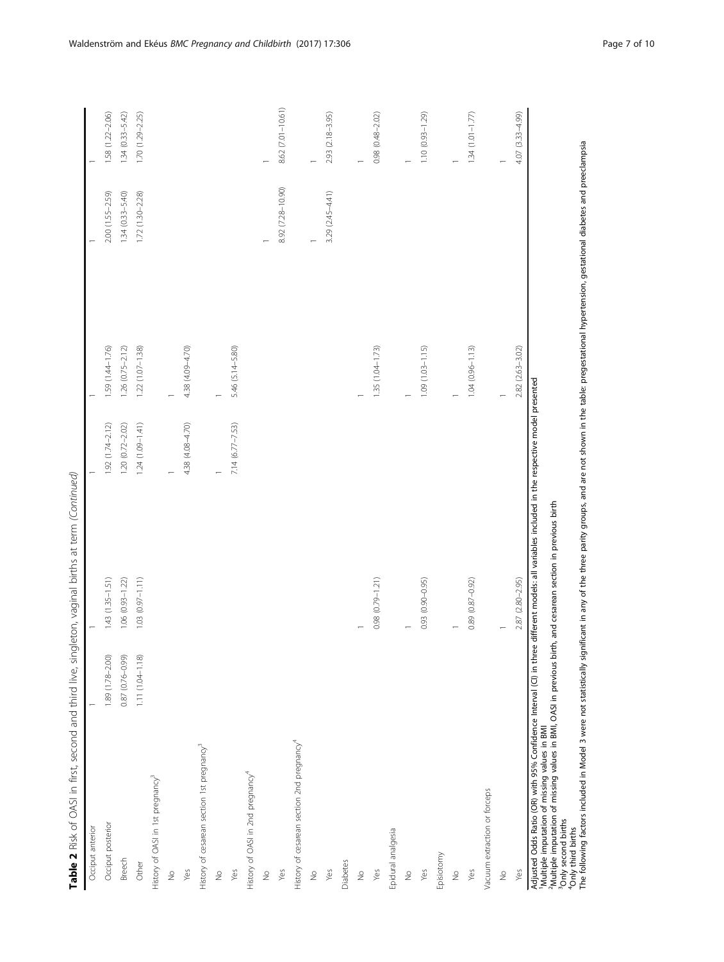| 1.89 (1.78-2.00)<br>0.87 (0.76-0.99)<br>1.11 (1.04-1.18)<br>History of cesarean section 1st pregnancy <sup>3</sup><br>History of OASI in 1st pregnancy <sup>3</sup><br>Occiput posterior<br>Occiput anterior<br>Breech<br>Other<br>Yes<br>Yes<br>$\stackrel{\circ}{\geq}$<br>$\stackrel{\circ}{\geq}$ | $1.43(1.35 - 1.51)$<br>$1.03(0.97 - 1.11)$<br>$1.06(0.93 - 1.22)$ | 1.92 (1.74-2.12)    | 1.59 (1.44-1.76)    | 2.00 (1.55-2.59)    |                     |
|-------------------------------------------------------------------------------------------------------------------------------------------------------------------------------------------------------------------------------------------------------------------------------------------------------|-------------------------------------------------------------------|---------------------|---------------------|---------------------|---------------------|
|                                                                                                                                                                                                                                                                                                       |                                                                   |                     |                     |                     | 1.58 (1.22-2.06)    |
|                                                                                                                                                                                                                                                                                                       |                                                                   | $1.20(0.72 - 2.02)$ | $1.26(0.75 - 2.12)$ | $1.34(0.33 - 5.40)$ | $1.34(0.33 - 5.42)$ |
|                                                                                                                                                                                                                                                                                                       |                                                                   | 1.24 (1.09-1.41)    | $1.22(1.07 - 1.38)$ | $1.72(1.30 - 2.28)$ | $1.70(1.29 - 2.25)$ |
|                                                                                                                                                                                                                                                                                                       |                                                                   |                     |                     |                     |                     |
|                                                                                                                                                                                                                                                                                                       |                                                                   |                     |                     |                     |                     |
|                                                                                                                                                                                                                                                                                                       |                                                                   | 4.38 (4.08-4.70)    | 4.38 (4.09-4.70)    |                     |                     |
|                                                                                                                                                                                                                                                                                                       |                                                                   |                     |                     |                     |                     |
|                                                                                                                                                                                                                                                                                                       |                                                                   |                     |                     |                     |                     |
|                                                                                                                                                                                                                                                                                                       |                                                                   | 7.14 (6.77-7.53)    | 5.46 (5.14-5.80)    |                     |                     |
| History of OASI in 2nd pregnancy <sup>4</sup>                                                                                                                                                                                                                                                         |                                                                   |                     |                     |                     |                     |
| $\frac{1}{2}$                                                                                                                                                                                                                                                                                         |                                                                   |                     |                     |                     |                     |
| Yes                                                                                                                                                                                                                                                                                                   |                                                                   |                     |                     | 8.92 (7.28-10.90)   | 8.62 (7.01-10.61)   |
| History of cesarean section 2nd pregnancy <sup>4</sup>                                                                                                                                                                                                                                                |                                                                   |                     |                     |                     |                     |
| $\stackrel{\circ}{\geq}$                                                                                                                                                                                                                                                                              |                                                                   |                     |                     |                     |                     |
| Yes                                                                                                                                                                                                                                                                                                   |                                                                   |                     |                     | 3.29 (2.45-4.41)    | 2.93 (2.18-3.95)    |
| <b>Diabetes</b>                                                                                                                                                                                                                                                                                       |                                                                   |                     |                     |                     |                     |
| $\frac{\circ}{\sim}$                                                                                                                                                                                                                                                                                  |                                                                   |                     |                     |                     |                     |
| Yes                                                                                                                                                                                                                                                                                                   | $0.98(0.79 - 1.21)$                                               |                     | $1.35(1.04 - 1.73)$ |                     | $0.98(0.48 - 2.02)$ |
| Epidural analgesia                                                                                                                                                                                                                                                                                    |                                                                   |                     |                     |                     |                     |
| $\frac{\circ}{\sim}$                                                                                                                                                                                                                                                                                  |                                                                   |                     |                     |                     |                     |
| Yes                                                                                                                                                                                                                                                                                                   | 0.93 (0.90-0.95)                                                  |                     | $1.09(1.03 - 1.15)$ |                     | $1.10(0.93 - 1.29)$ |
| Episiotomy                                                                                                                                                                                                                                                                                            |                                                                   |                     |                     |                     |                     |
| $\stackrel{\circ}{\geq}$                                                                                                                                                                                                                                                                              |                                                                   |                     |                     |                     |                     |
| Yes                                                                                                                                                                                                                                                                                                   | 0.89 (0.87-0.92)                                                  |                     | $1.04(0.96 - 1.13)$ |                     | $1.34(1.01 - 1.77)$ |
| Vacuum extraction or forceps                                                                                                                                                                                                                                                                          |                                                                   |                     |                     |                     |                     |
| $\stackrel{\circ}{\geq}$                                                                                                                                                                                                                                                                              |                                                                   |                     |                     |                     |                     |
| Yes                                                                                                                                                                                                                                                                                                   | 2.87 (2.80-2.95)                                                  |                     | 2.82 (2.63-3.02)    |                     | 4.07 (3.33-4.99)    |

2Multiple imputation of missing values in BMI, OASI in previous birth, and cesarean section in previous birth

3Only second births 4Only third births

<sup>2</sup>Multiple imputation of missing values in BMI, OASI in previous birth, and cesarean section in previous birth<br><sup>3</sup>Only second births<br>The following factors included in Model 3 were not statistically significant in any of t The following factors included in Model 3 were not statistically significant in any of the three parity groups, and are not shown in the table: pregestational hypertension, gestational diabetes and preeclampsia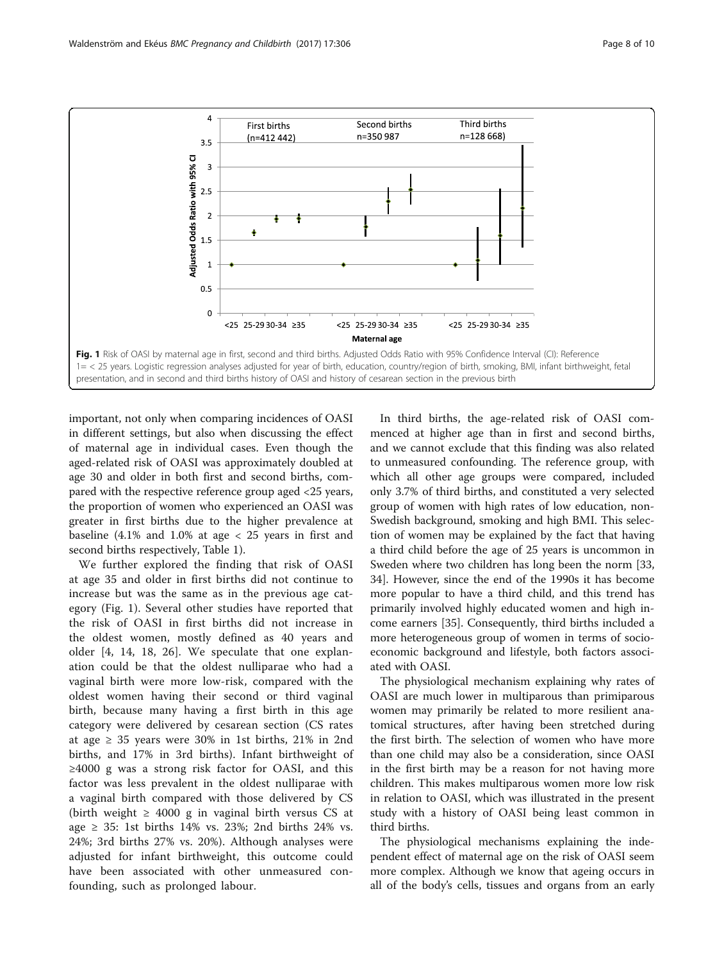<span id="page-7-0"></span>

important, not only when comparing incidences of OASI in different settings, but also when discussing the effect of maternal age in individual cases. Even though the aged-related risk of OASI was approximately doubled at age 30 and older in both first and second births, compared with the respective reference group aged <25 years, the proportion of women who experienced an OASI was greater in first births due to the higher prevalence at baseline  $(4.1\%$  and  $1.0\%$  at age  $\lt$  25 years in first and second births respectively, Table [1\)](#page-3-0).

We further explored the finding that risk of OASI at age 35 and older in first births did not continue to increase but was the same as in the previous age category (Fig. 1). Several other studies have reported that the risk of OASI in first births did not increase in the oldest women, mostly defined as 40 years and older [[4, 14, 18](#page-9-0), [26\]](#page-9-0). We speculate that one explanation could be that the oldest nulliparae who had a vaginal birth were more low-risk, compared with the oldest women having their second or third vaginal birth, because many having a first birth in this age category were delivered by cesarean section (CS rates at age  $\geq$  35 years were 30% in 1st births, 21% in 2nd births, and 17% in 3rd births). Infant birthweight of ≥4000 g was a strong risk factor for OASI, and this factor was less prevalent in the oldest nulliparae with a vaginal birth compared with those delivered by CS (birth weight  $\geq 4000$  g in vaginal birth versus CS at age  $\geq$  35: 1st births 14% vs. 23%; 2nd births 24% vs. 24%; 3rd births 27% vs. 20%). Although analyses were adjusted for infant birthweight, this outcome could have been associated with other unmeasured confounding, such as prolonged labour.

In third births, the age-related risk of OASI commenced at higher age than in first and second births, and we cannot exclude that this finding was also related to unmeasured confounding. The reference group, with which all other age groups were compared, included only 3.7% of third births, and constituted a very selected group of women with high rates of low education, non-Swedish background, smoking and high BMI. This selection of women may be explained by the fact that having a third child before the age of 25 years is uncommon in Sweden where two children has long been the norm [[33](#page-9-0), [34\]](#page-9-0). However, since the end of the 1990s it has become more popular to have a third child, and this trend has primarily involved highly educated women and high income earners [\[35](#page-9-0)]. Consequently, third births included a more heterogeneous group of women in terms of socioeconomic background and lifestyle, both factors associated with OASI.

The physiological mechanism explaining why rates of OASI are much lower in multiparous than primiparous women may primarily be related to more resilient anatomical structures, after having been stretched during the first birth. The selection of women who have more than one child may also be a consideration, since OASI in the first birth may be a reason for not having more children. This makes multiparous women more low risk in relation to OASI, which was illustrated in the present study with a history of OASI being least common in third births.

The physiological mechanisms explaining the independent effect of maternal age on the risk of OASI seem more complex. Although we know that ageing occurs in all of the body's cells, tissues and organs from an early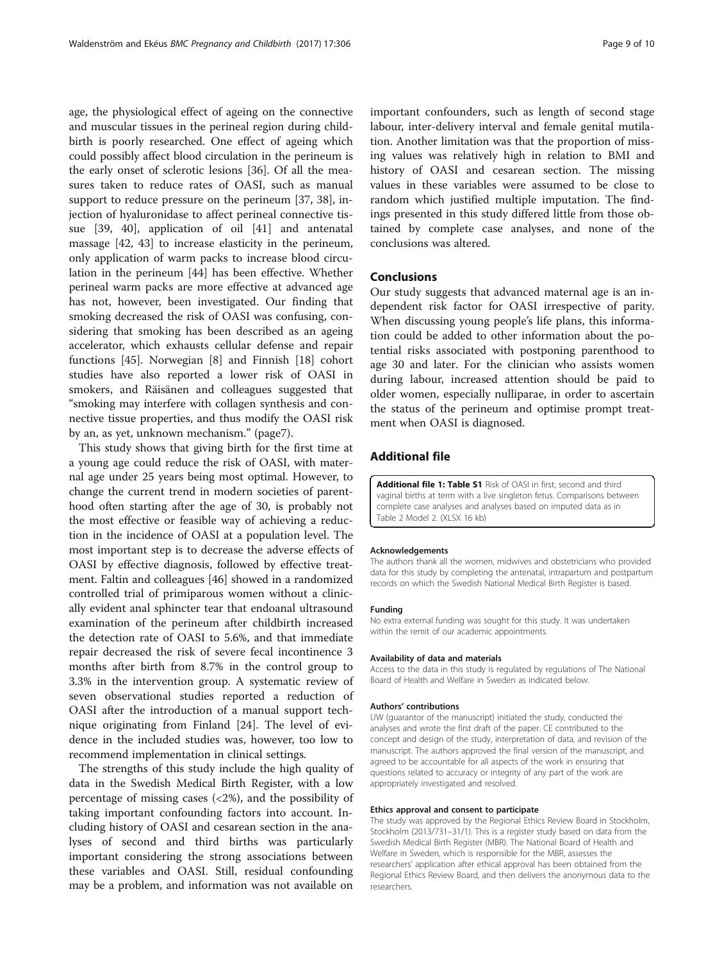<span id="page-8-0"></span>age, the physiological effect of ageing on the connective and muscular tissues in the perineal region during childbirth is poorly researched. One effect of ageing which could possibly affect blood circulation in the perineum is the early onset of sclerotic lesions [[36](#page-9-0)]. Of all the measures taken to reduce rates of OASI, such as manual support to reduce pressure on the perineum [[37](#page-9-0), [38\]](#page-9-0), injection of hyaluronidase to affect perineal connective tissue [[39](#page-9-0), [40\]](#page-9-0), application of oil [[41](#page-9-0)] and antenatal massage [[42, 43\]](#page-9-0) to increase elasticity in the perineum, only application of warm packs to increase blood circulation in the perineum [[44\]](#page-9-0) has been effective. Whether perineal warm packs are more effective at advanced age has not, however, been investigated. Our finding that smoking decreased the risk of OASI was confusing, considering that smoking has been described as an ageing accelerator, which exhausts cellular defense and repair functions [[45\]](#page-9-0). Norwegian [\[8](#page-9-0)] and Finnish [[18\]](#page-9-0) cohort studies have also reported a lower risk of OASI in smokers, and Räisänen and colleagues suggested that "smoking may interfere with collagen synthesis and connective tissue properties, and thus modify the OASI risk by an, as yet, unknown mechanism." (page7).

This study shows that giving birth for the first time at a young age could reduce the risk of OASI, with maternal age under 25 years being most optimal. However, to change the current trend in modern societies of parenthood often starting after the age of 30, is probably not the most effective or feasible way of achieving a reduction in the incidence of OASI at a population level. The most important step is to decrease the adverse effects of OASI by effective diagnosis, followed by effective treatment. Faltin and colleagues [\[46](#page-9-0)] showed in a randomized controlled trial of primiparous women without a clinically evident anal sphincter tear that endoanal ultrasound examination of the perineum after childbirth increased the detection rate of OASI to 5.6%, and that immediate repair decreased the risk of severe fecal incontinence 3 months after birth from 8.7% in the control group to 3.3% in the intervention group. A systematic review of seven observational studies reported a reduction of OASI after the introduction of a manual support technique originating from Finland [[24](#page-9-0)]. The level of evidence in the included studies was, however, too low to recommend implementation in clinical settings.

The strengths of this study include the high quality of data in the Swedish Medical Birth Register, with a low percentage of missing cases (<2%), and the possibility of taking important confounding factors into account. Including history of OASI and cesarean section in the analyses of second and third births was particularly important considering the strong associations between these variables and OASI. Still, residual confounding may be a problem, and information was not available on

important confounders, such as length of second stage labour, inter-delivery interval and female genital mutilation. Another limitation was that the proportion of missing values was relatively high in relation to BMI and history of OASI and cesarean section. The missing values in these variables were assumed to be close to random which justified multiple imputation. The findings presented in this study differed little from those obtained by complete case analyses, and none of the conclusions was altered.

### Conclusions

Our study suggests that advanced maternal age is an independent risk factor for OASI irrespective of parity. When discussing young people's life plans, this information could be added to other information about the potential risks associated with postponing parenthood to age 30 and later. For the clinician who assists women during labour, increased attention should be paid to older women, especially nulliparae, in order to ascertain the status of the perineum and optimise prompt treatment when OASI is diagnosed.

## Additional file

[Additional file 1: Table S1](dx.doi.org/10.1186/s12884-017-1473-7) Risk of OASI in first, second and third vaginal births at term with a live singleton fetus. Comparisons between complete case analyses and analyses based on imputed data as in Table [2](#page-5-0) Model 2. (XLSX 16 kb)

#### Acknowledgements

The authors thank all the women, midwives and obstetricians who provided data for this study by completing the antenatal, intrapartum and postpartum records on which the Swedish National Medical Birth Register is based.

#### Funding

No extra external funding was sought for this study. It was undertaken within the remit of our academic appointments.

#### Availability of data and materials

Access to the data in this study is regulated by regulations of The National Board of Health and Welfare in Sweden as indicated below.

#### Authors' contributions

UW (guarantor of the manuscript) initiated the study, conducted the analyses and wrote the first draft of the paper. CE contributed to the concept and design of the study, interpretation of data, and revision of the manuscript. The authors approved the final version of the manuscript, and agreed to be accountable for all aspects of the work in ensuring that questions related to accuracy or integrity of any part of the work are appropriately investigated and resolved.

#### Ethics approval and consent to participate

The study was approved by the Regional Ethics Review Board in Stockholm, Stockholm (2013/731–31/1). This is a register study based on data from the Swedish Medical Birth Register (MBR). The National Board of Health and Welfare in Sweden, which is responsible for the MBR, assesses the researchers' application after ethical approval has been obtained from the Regional Ethics Review Board, and then delivers the anonymous data to the researchers.